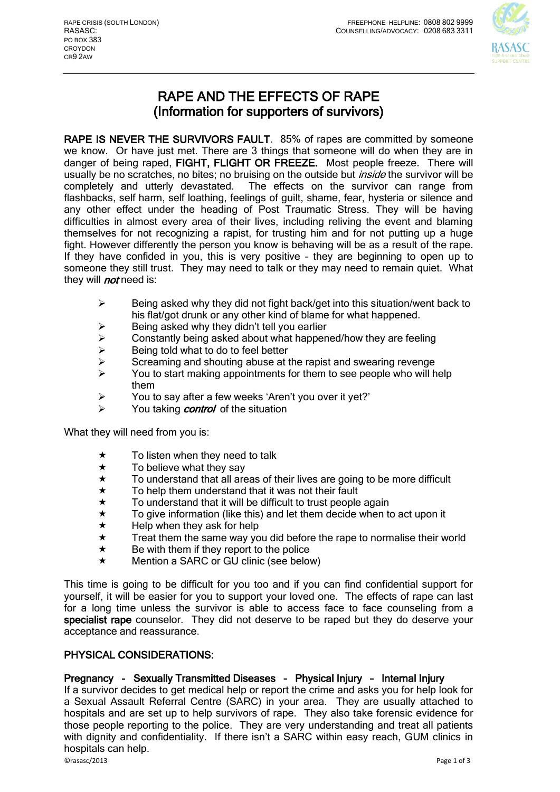

# RAPE AND THE EFFECTS OF RAPE (Information for supporters of survivors)

RAPE IS NEVER THE SURVIVORS FAULT. 85% of rapes are committed by someone we know. Or have just met. There are 3 things that someone will do when they are in danger of being raped, FIGHT, FLIGHT OR FREEZE. Most people freeze. There will usually be no scratches, no bites; no bruising on the outside but *inside* the survivor will be completely and utterly devastated. The effects on the survivor can range from flashbacks, self harm, self loathing, feelings of guilt, shame, fear, hysteria or silence and any other effect under the heading of Post Traumatic Stress. They will be having difficulties in almost every area of their lives, including reliving the event and blaming themselves for not recognizing a rapist, for trusting him and for not putting up a huge fight. However differently the person you know is behaving will be as a result of the rape. If they have confided in you, this is very positive – they are beginning to open up to someone they still trust. They may need to talk or they may need to remain quiet. What they will *not* need is:

- $\triangleright$  Being asked why they did not fight back/get into this situation/went back to his flat/got drunk or any other kind of blame for what happened.
- $\triangleright$  Being asked why they didn't tell you earlier
- $\geq$  Constantly being asked about what happened/how they are feeling  $\geq$  Being told what to do to feel better
- $\triangleright$  Being told what to do to feel better<br>  $\triangleright$  Screaming and shouting abuse at t
- Screaming and shouting abuse at the rapist and swearing revenge
- $\triangleright$  You to start making appointments for them to see people who will help them
- You to say after a few weeks 'Aren't you over it yet?'
- $\triangleright$  You taking *control* of the situation

What they will need from you is:

- $\star$  To listen when they need to talk
- $\star$  To believe what they say<br> $\star$  To understand that all are
- $\star$  To understand that all areas of their lives are going to be more difficult  $\star$  To help them understand that it was not their fault
- To help them understand that it was not their fault
- $\star$  To understand that it will be difficult to trust people again  $\star$  To give information (like this) and let them decide when to
- $\star$  To give information (like this) and let them decide when to act upon it  $\star$  Help when they ask for help
- $\star$  Help when they ask for help<br> $\star$  Treat them the same way vo
- Treat them the same way you did before the rape to normalise their world
- $\star$  Be with them if they report to the police
- ★ Mention a SARC or GU clinic (see below)

This time is going to be difficult for you too and if you can find confidential support for yourself, it will be easier for you to support your loved one. The effects of rape can last for a long time unless the survivor is able to access face to face counseling from a specialist rape counselor. They did not deserve to be raped but they do deserve your acceptance and reassurance.

### PHYSICAL CONSIDERATIONS:

### Pregnancy - Sexually Transmitted Diseases – Physical Injury – Internal Injury

If a survivor decides to get medical help or report the crime and asks you for help look for a Sexual Assault Referral Centre (SARC) in your area. They are usually attached to hospitals and are set up to help survivors of rape. They also take forensic evidence for those people reporting to the police. They are very understanding and treat all patients with dignity and confidentiality. If there isn't a SARC within easy reach, GUM clinics in hospitals can help.

©rasasc/2013 Page 1 of 3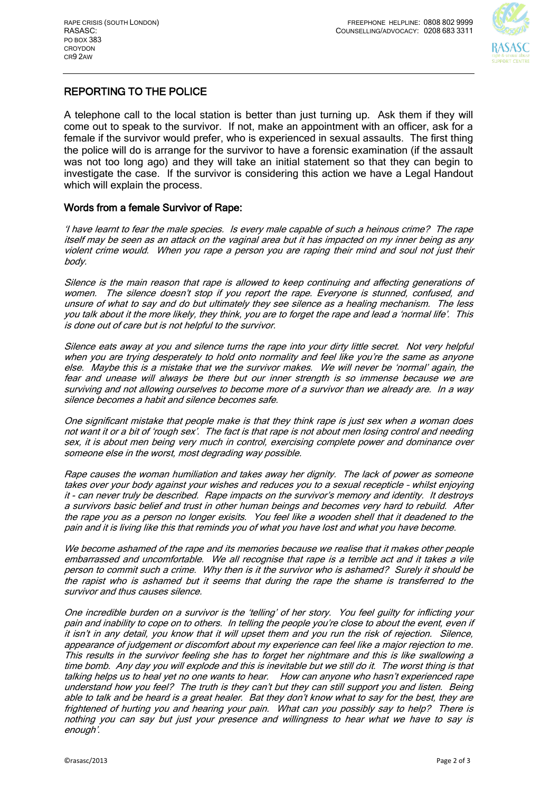

## REPORTING TO THE POLICE

A telephone call to the local station is better than just turning up. Ask them if they will come out to speak to the survivor. If not, make an appointment with an officer, ask for a female if the survivor would prefer, who is experienced in sexual assaults. The first thing the police will do is arrange for the survivor to have a forensic examination (if the assault was not too long ago) and they will take an initial statement so that they can begin to investigate the case. If the survivor is considering this action we have a Legal Handout which will explain the process.

### Words from a female Survivor of Rape:

'I have learnt to fear the male species. Is every male capable of such a heinous crime? The rape itself may be seen as an attack on the vaginal area but it has impacted on my inner being as any violent crime would. When you rape a person you are raping their mind and soul not just their body.

Silence is the main reason that rape is allowed to keep continuing and affecting generations of women. The silence doesn't stop if you report the rape. Everyone is stunned, confused, and unsure of what to say and do but ultimately they see silence as a healing mechanism. The less you talk about it the more likely, they think, you are to forget the rape and lead a 'normal life'. This is done out of care but is not helpful to the survivor.

Silence eats away at you and silence turns the rape into your dirty little secret. Not very helpful when you are trying desperately to hold onto normality and feel like you're the same as anyone else. Maybe this is a mistake that we the survivor makes. We will never be 'normal' again, the fear and unease will always be there but our inner strength is so immense because we are surviving and not allowing ourselves to become more of a survivor than we already are. In a way silence becomes a habit and silence becomes safe.

One significant mistake that people make is that they think rape is just sex when a woman does not want it or a bit of 'rough sex'. The fact is that rape is not about men losing control and needing sex, it is about men being very much in control, exercising complete power and dominance over someone else in the worst, most degrading way possible.

Rape causes the woman humiliation and takes away her dignity. The lack of power as someone takes over your body against your wishes and reduces you to a sexual recepticle – whilst enjoying it - can never truly be described. Rape impacts on the survivor's memory and identity. It destroys a survivors basic belief and trust in other human beings and becomes very hard to rebuild. After the rape you as a person no longer exisits. You feel like a wooden shell that it deadened to the pain and it is living like this that reminds you of what you have lost and what you have become.

We become ashamed of the rape and its memories because we realise that it makes other people embarrassed and uncomfortable. We all recognise that rape is a terrible act and it takes a vile person to commit such a crime. Why then is it the survivor who is ashamed? Surely it should be the rapist who is ashamed but it seems that during the rape the shame is transferred to the survivor and thus causes silence.

One incredible burden on a survivor is the 'telling' of her story. You feel guilty for inflicting your pain and inability to cope on to others. In telling the people you're close to about the event, even if it isn't in any detail, you know that it will upset them and you run the risk of rejection. Silence, appearance of judgement or discomfort about my experience can feel like a major rejection to me. This results in the survivor feeling she has to forget her nightmare and this is like swallowing a time bomb. Any day you will explode and this is inevitable but we still do it. The worst thing is that talking helps us to heal yet no one wants to hear. How can anyone who hasn't experienced rape understand how you feel? The truth is they can't but they can still support you and listen. Being able to talk and be heard is a great healer. Bat they don't know what to say for the best, they are frightened of hurting you and hearing your pain. What can you possibly say to help? There is nothing you can say but just your presence and willingness to hear what we have to say is enough'.